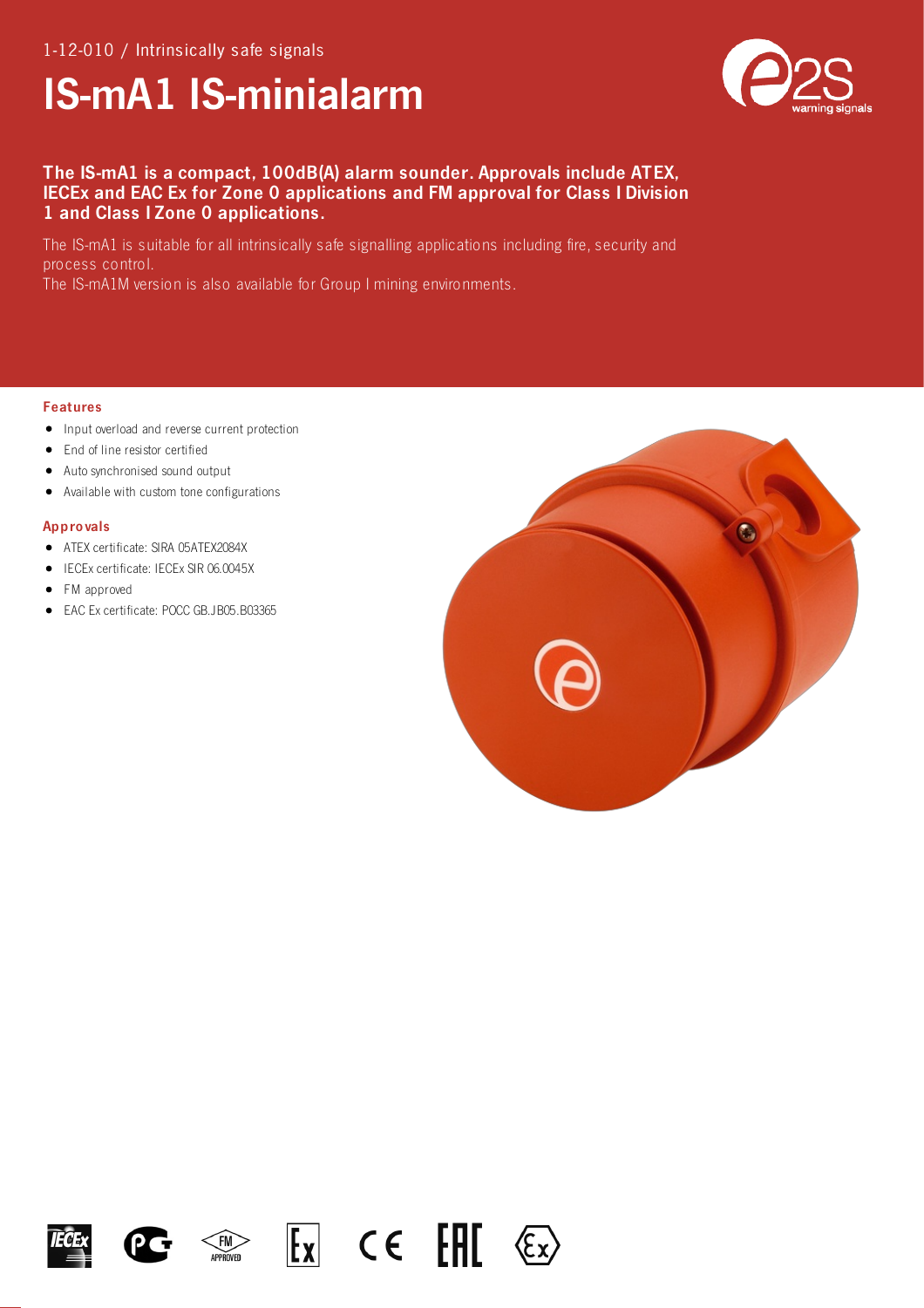# IS-mA1 IS-minialarm



# The IS-mA1 is a compact, 100dB(A) alarm sounder. Approvals include ATEX, IECEx and EAC Ex for Zone 0 applications and FM approval for Class I Division 1 and Class I Zone 0 applications.

The IS-mA1 is suitable for all intrinsically safe signalling applications including fire, security and process control.

The IS-mA1M version is also available for Group I mining environments.

### Features

- Input overload and reverse current protection
- End of line resistor certified
- Auto synchronised sound output  $\bullet$
- Available with custom tone configurations  $\bullet$

# Appro vals

- ATEX certificate: SIRA 05ATEX2084X
- IECEx certificate: IECEx SIR 06.0045X  $\bullet$
- FM approved
- EAC Ex certificate: POCC GB.JB05.B03365











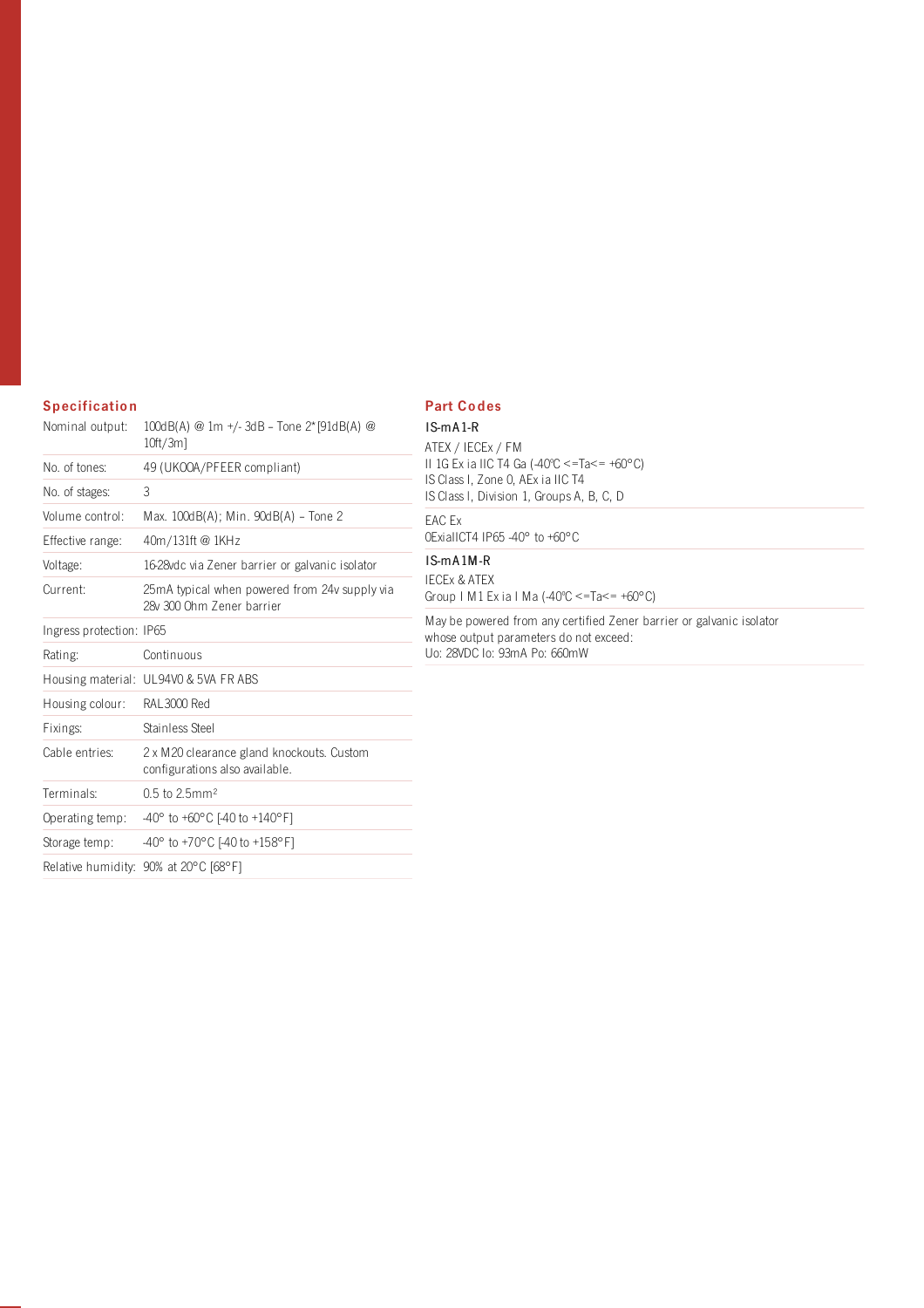# **Specification**

| Nominal output:          | 100dB(A) @ 1m +/-3dB - Tone 2* [91dB(A) @<br>$10ft/3m$ ]                     |
|--------------------------|------------------------------------------------------------------------------|
| No. of tones:            | 49 (UKOOA/PFEER compliant)                                                   |
| No. of stages:           | 3                                                                            |
| Volume control:          | Max. 100dB(A); Min. 90dB(A) - Tone 2                                         |
| Effective range:         | 40m/131ft @ 1KHz                                                             |
| Voltage:                 | 16-28 vdc via Zener barrier or galvanic isolator                             |
| Current:                 | 25 mA typical when powered from 24 v supply via<br>28v 300 Ohm Zener barrier |
| Ingress protection: IP65 |                                                                              |
| Rating:                  | Continuous                                                                   |
|                          | Housing material: UL94V0 & 5VA FR ABS                                        |
| Housing colour:          | RAL3000 Red                                                                  |
| Fixings:                 | Stainless Steel                                                              |
| Cable entries:           | 2 x M20 clearance gland knockouts. Custom<br>configurations also available.  |
| Terminals:               | $0.5$ to 2.5mm <sup>2</sup>                                                  |
| Operating temp:          | $-40^{\circ}$ to $+60^{\circ}$ C [-40 to $+140^{\circ}$ F]                   |
| Storage temp:            | $-40^{\circ}$ to +70°C [-40 to +158°F]                                       |
|                          | Relative humidity: 90% at 20°C [68°F]                                        |

# Part Co des

IS-mA 1-R  $-$  ATEX / IECEx / FM II 1G Ex ia IIC T4 Ga (-40ºC <=Ta<= +60°C) IS Class I, Zone 0, AEx ia IIC T4 IS Class l, Division 1, Groups A, B, C, D EAC Ex

0ExiaIICT4 IP65 -40° to +60°C

# IS-mA 1M-R

 $\overline{\phantom{a}}$ 

**IECEX & ATEX** Group I M1 Ex ia I Ma (-40ºC <=Ta<= +60°C)

May be powered from any certified Zener barrier or galvanic isolator whose output parameters do not exceed: Uo: 28VDC Io: 93mA Po: 660mW